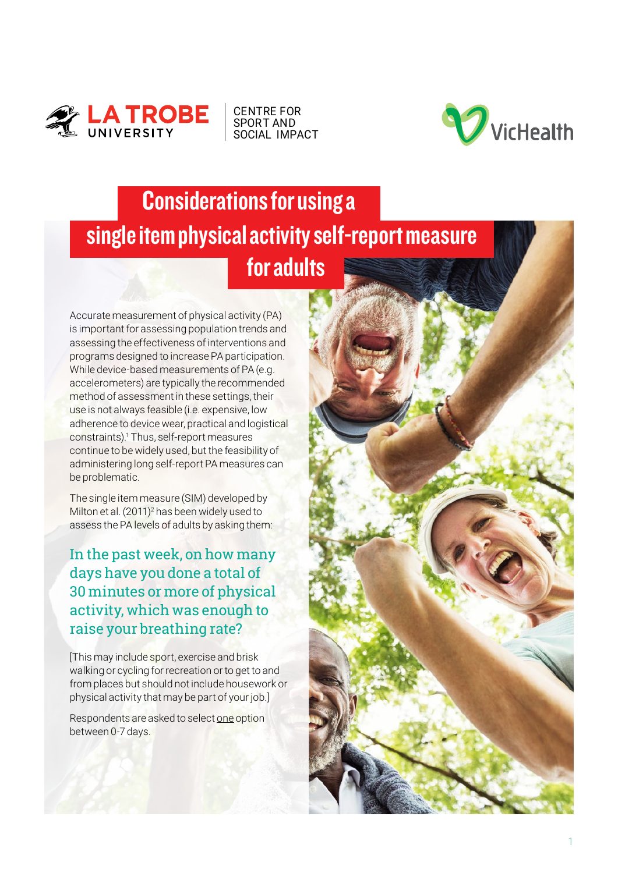

CENTRE FOR SPORT AND [SOCIAL IMPACT](https://www.latrobe.edu.au/cssi)



## Considerations for using a single item physical activity self-report measure for adults

Accurate measurement of physical activity (PA) is important for assessing population trends and assessing the effectiveness of interventions and programs designed to increase PA participation. While device-based measurements of PA (e.g. accelerometers) are typically the recommended method of assessment in these settings, their use is not always feasible (i.e. expensive, low adherence to device wear, practical and logistical constraints).<sup>1</sup> Thus, self-report measures continue to be widely used, but the feasibility of administering long self-report PA measures can be problematic.

The single item measure (SIM) developed by Milton et al. (2011)<sup>2</sup> has been widely used to assess the PA levels of adults by asking them:

In the past week, on how many days have you done a total of 30 minutes or more of physical activity, which was enough to raise your breathing rate?

[This may include sport, exercise and brisk walking or cycling for recreation or to get to and from places but should not include housework or physical activity that may be part of your job.]

Respondents are asked to select one option between 0-7 days.